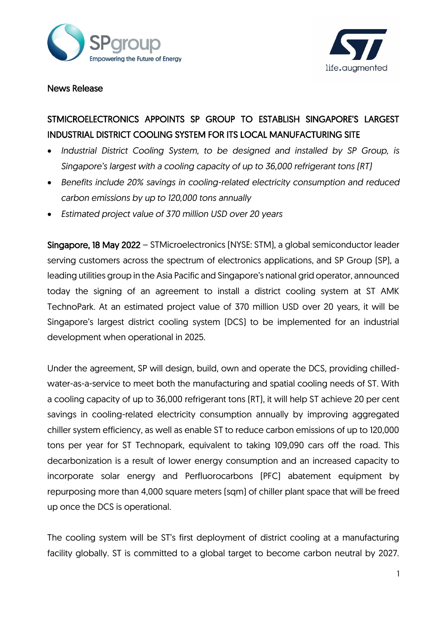



## News Release

## STMICROELECTRONICS APPOINTS SP GROUP TO ESTABLISH SINGAPORE'S LARGEST INDUSTRIAL DISTRICT COOLING SYSTEM FOR ITS LOCAL MANUFACTURING SITE

- *Industrial District Cooling System, to be designed and installed by SP Group, is Singapore's largest with a cooling capacity of up to 36,000 refrigerant tons (RT)*
- *Benefits include 20% savings in cooling-related electricity consumption and reduced carbon emissions by up to 120,000 tons annually*
- *Estimated project value of 370 million USD over 20 years*

Singapore, 18 May 2022 – STMicroelectronics (NYSE: STM), a global semiconductor leader serving customers across the spectrum of electronics applications, and SP Group (SP), a leading utilities group in the Asia Pacific and Singapore's national grid operator, announced today the signing of an agreement to install a district cooling system at ST AMK TechnoPark. At an estimated project value of 370 million USD over 20 years, it will be Singapore's largest district cooling system (DCS) to be implemented for an industrial development when operational in 2025.

Under the agreement, SP will design, build, own and operate the DCS, providing chilledwater-as-a-service to meet both the manufacturing and spatial cooling needs of ST. With a cooling capacity of up to 36,000 refrigerant tons (RT), it will help ST achieve 20 per cent savings in cooling-related electricity consumption annually by improving aggregated chiller system efficiency, as well as enable ST to reduce carbon emissions of up to 120,000 tons per year for ST Technopark, equivalent to taking 109,090 cars off the road. This decarbonization is a result of lower energy consumption and an increased capacity to incorporate solar energy and Perfluorocarbons (PFC) abatement equipment by repurposing more than 4,000 square meters (sqm) of chiller plant space that will be freed up once the DCS is operational.

The cooling system will be ST's first deployment of district cooling at a manufacturing facility globally. ST is committed to a global target to become carbon neutral by 2027.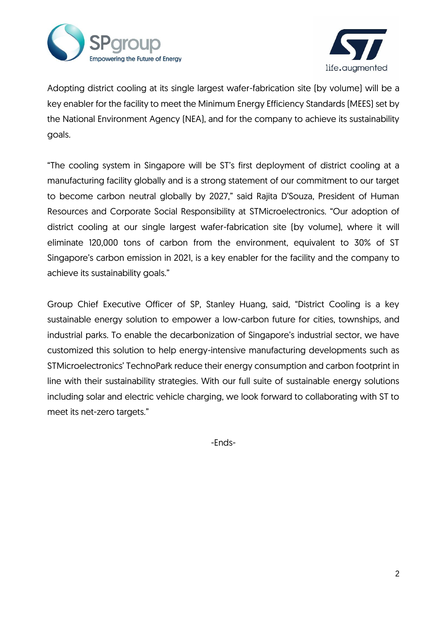



Adopting district cooling at its single largest wafer-fabrication site (by volume) will be a key enabler for the facility to meet the Minimum Energy Efficiency Standards (MEES) set by the National Environment Agency (NEA), and for the company to achieve its sustainability goals.

"The cooling system in Singapore will be ST's first deployment of district cooling at a manufacturing facility globally and is a strong statement of our commitment to our target to become carbon neutral globally by 2027," said Rajita D'Souza, President of Human Resources and Corporate Social Responsibility at STMicroelectronics. "Our adoption of district cooling at our single largest wafer-fabrication site (by volume), where it will eliminate 120,000 tons of carbon from the environment, equivalent to 30% of ST Singapore's carbon emission in 2021, is a key enabler for the facility and the company to achieve its sustainability goals."

Group Chief Executive Officer of SP, Stanley Huang, said, "District Cooling is a key sustainable energy solution to empower a low-carbon future for cities, townships, and industrial parks. To enable the decarbonization of Singapore's industrial sector, we have customized this solution to help energy-intensive manufacturing developments such as STMicroelectronics' TechnoPark reduce their energy consumption and carbon footprint in line with their sustainability strategies. With our full suite of sustainable energy solutions including solar and electric vehicle charging, we look forward to collaborating with ST to meet its net-zero targets."

-Ends-